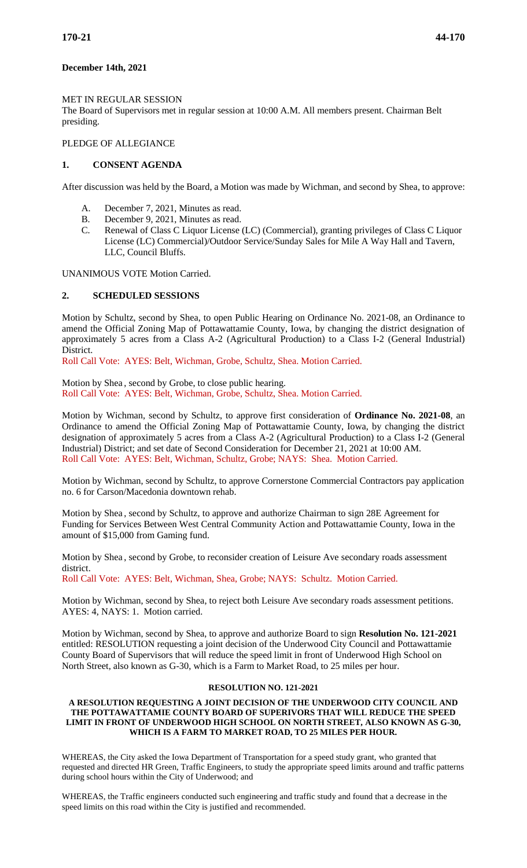## **December 14th, 2021**

## MET IN REGULAR SESSION

The Board of Supervisors met in regular session at 10:00 A.M. All members present. Chairman Belt presiding.

## PLEDGE OF ALLEGIANCE

## **1. CONSENT AGENDA**

After discussion was held by the Board, a Motion was made by Wichman, and second by Shea, to approve:

- A. December 7, 2021, Minutes as read.
- B. December 9, 2021, Minutes as read.
- C. Renewal of Class C Liquor License (LC) (Commercial), granting privileges of Class C Liquor License (LC) Commercial)/Outdoor Service/Sunday Sales for Mile A Way Hall and Tavern, LLC, Council Bluffs.

UNANIMOUS VOTE Motion Carried.

## **2. SCHEDULED SESSIONS**

Motion by Schultz, second by Shea, to open Public Hearing on Ordinance No. 2021-08, an Ordinance to amend the Official Zoning Map of Pottawattamie County, Iowa, by changing the district designation of approximately 5 acres from a Class A-2 (Agricultural Production) to a Class I-2 (General Industrial) District.

Roll Call Vote: AYES: Belt, Wichman, Grobe, Schultz, Shea. Motion Carried.

Motion by Shea , second by Grobe, to close public hearing. Roll Call Vote: AYES: Belt, Wichman, Grobe, Schultz, Shea. Motion Carried.

Motion by Wichman, second by Schultz, to approve first consideration of **Ordinance No. 2021-08**, an Ordinance to amend the Official Zoning Map of Pottawattamie County, Iowa, by changing the district designation of approximately 5 acres from a Class A-2 (Agricultural Production) to a Class I-2 (General Industrial) District; and set date of Second Consideration for December 21, 2021 at 10:00 AM. Roll Call Vote: AYES: Belt, Wichman, Schultz, Grobe; NAYS: Shea. Motion Carried.

Motion by Wichman, second by Schultz, to approve Cornerstone Commercial Contractors pay application no. 6 for Carson/Macedonia downtown rehab.

Motion by Shea , second by Schultz, to approve and authorize Chairman to sign 28E Agreement for Funding for Services Between West Central Community Action and Pottawattamie County, Iowa in the amount of \$15,000 from Gaming fund.

Motion by Shea , second by Grobe, to reconsider creation of Leisure Ave secondary roads assessment district.

Roll Call Vote: AYES: Belt, Wichman, Shea, Grobe; NAYS: Schultz. Motion Carried.

Motion by Wichman, second by Shea, to reject both Leisure Ave secondary roads assessment petitions. AYES: 4, NAYS: 1. Motion carried.

Motion by Wichman, second by Shea, to approve and authorize Board to sign **Resolution No. 121-2021** entitled: RESOLUTION requesting a joint decision of the Underwood City Council and Pottawattamie County Board of Supervisors that will reduce the speed limit in front of Underwood High School on North Street, also known as G-30, which is a Farm to Market Road, to 25 miles per hour.

### **RESOLUTION NO. 121-2021**

### **A RESOLUTION REQUESTING A JOINT DECISION OF THE UNDERWOOD CITY COUNCIL AND THE POTTAWATTAMIE COUNTY BOARD OF SUPERIVORS THAT WILL REDUCE THE SPEED LIMIT IN FRONT OF UNDERWOOD HIGH SCHOOL ON NORTH STREET, ALSO KNOWN AS G-30, WHICH IS A FARM TO MARKET ROAD, TO 25 MILES PER HOUR.**

WHEREAS, the City asked the Iowa Department of Transportation for a speed study grant, who granted that requested and directed HR Green, Traffic Engineers, to study the appropriate speed limits around and traffic patterns during school hours within the City of Underwood; and

WHEREAS, the Traffic engineers conducted such engineering and traffic study and found that a decrease in the speed limits on this road within the City is justified and recommended.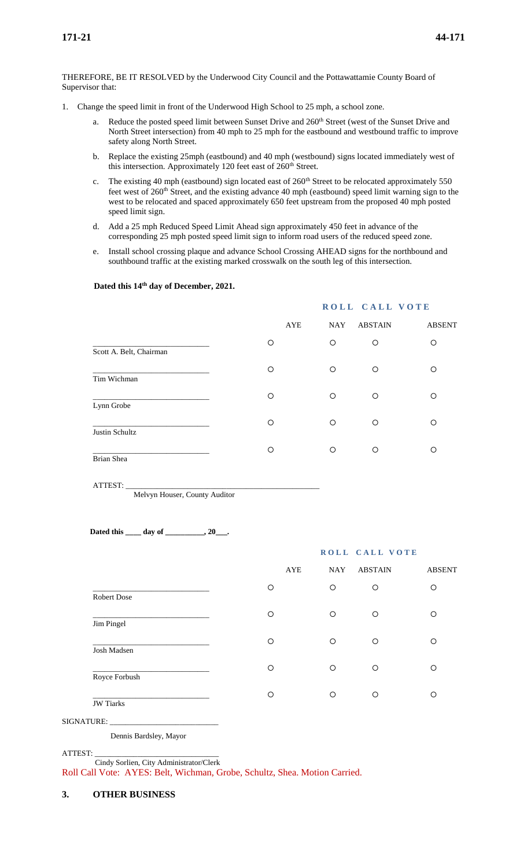THEREFORE, BE IT RESOLVED by the Underwood City Council and the Pottawattamie County Board of Supervisor that:

- 1. Change the speed limit in front of the Underwood High School to 25 mph, a school zone.
	- a. Reduce the posted speed limit between Sunset Drive and 260<sup>th</sup> Street (west of the Sunset Drive and North Street intersection) from 40 mph to 25 mph for the eastbound and westbound traffic to improve safety along North Street.
	- b. Replace the existing 25mph (eastbound) and 40 mph (westbound) signs located immediately west of this intersection. Approximately 120 feet east of  $260<sup>th</sup>$  Street.
	- c. The existing 40 mph (eastbound) sign located east of  $260<sup>th</sup>$  Street to be relocated approximately 550 feet west of 260<sup>th</sup> Street, and the existing advance 40 mph (eastbound) speed limit warning sign to the west to be relocated and spaced approximately 650 feet upstream from the proposed 40 mph posted speed limit sign.
	- d. Add a 25 mph Reduced Speed Limit Ahead sign approximately 450 feet in advance of the corresponding 25 mph posted speed limit sign to inform road users of the reduced speed zone.
	- e. Install school crossing plaque and advance School Crossing AHEAD signs for the northbound and southbound traffic at the existing marked crosswalk on the south leg of this intersection.

|                         |     | ROLL CALL VOTE |                |               |  |  |
|-------------------------|-----|----------------|----------------|---------------|--|--|
|                         | AYE | <b>NAY</b>     | <b>ABSTAIN</b> | <b>ABSENT</b> |  |  |
| Scott A. Belt, Chairman | O   | O              | O              | O             |  |  |
| Tim Wichman             | O   | $\circ$        | O              | O             |  |  |
| Lynn Grobe              | O   | O              | O              | O             |  |  |
| Justin Schultz          | O   | $\circ$        | $\circ$        | $\circ$       |  |  |
| Brian Shea              | O   | O              | O              | Ω             |  |  |

#### **Dated this 14th day of December, 2021.**

ATTEST: \_\_\_\_\_\_\_\_\_\_\_\_\_\_\_\_\_\_\_\_\_\_\_\_\_\_\_\_\_\_\_\_\_\_\_\_\_\_\_\_\_\_\_\_\_\_\_\_\_\_

Melvyn Houser, County Auditor

 **Dated this \_\_\_\_ day of \_\_\_\_\_\_\_\_\_\_, 20\_\_\_.**

|                    |   | ROLL CALL VOTE    |                |               |  |  |
|--------------------|---|-------------------|----------------|---------------|--|--|
|                    |   | AYE<br><b>NAY</b> | <b>ABSTAIN</b> | <b>ABSENT</b> |  |  |
| <b>Robert Dose</b> | O | $\circ$           | $\circ$        | O             |  |  |
| Jim Pingel         | O | $\circ$           | $\circ$        | O             |  |  |
| Josh Madsen        | O | $\circ$           | $\circ$        | O             |  |  |
| Royce Forbush      | O | $\circ$           | $\circ$        | O             |  |  |
| <b>JW</b> Tiarks   | O | O                 | $\circ$        | O             |  |  |

SIGNATURE:

Dennis Bardsley, Mayor

ATTEST: \_\_\_\_\_\_\_\_\_\_\_\_\_\_\_\_\_\_\_\_\_\_\_\_\_\_\_\_\_\_\_\_

Cindy Sorlien, City Administrator/Clerk

Roll Call Vote: AYES: Belt, Wichman, Grobe, Schultz, Shea. Motion Carried.

### **3. OTHER BUSINESS**